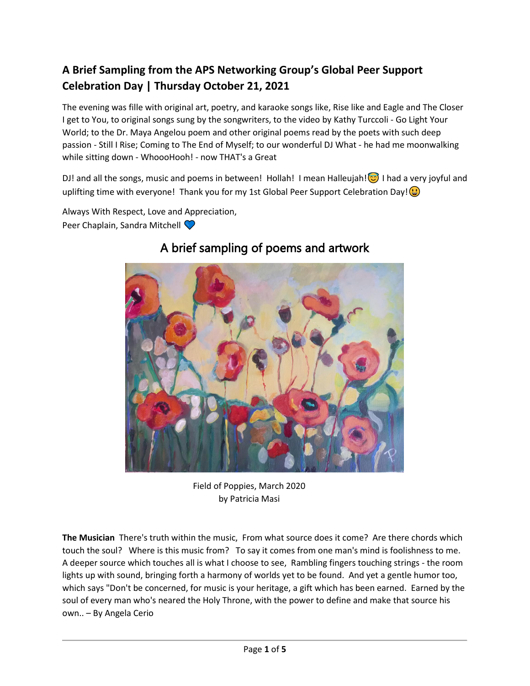## **A Brief Sampling from the APS Networking Group's Global Peer Support Celebration Day | Thursday October 21, 2021**

The evening was fille with original art, poetry, and karaoke songs like, Rise like and Eagle and The Closer I get to You, to original songs sung by the songwriters, to the video by Kathy Turccoli - Go Light Your World; to the Dr. Maya Angelou poem and other original poems read by the poets with such deep passion - Still I Rise; Coming to The End of Myself; to our wonderful DJ What - he had me moonwalking while sitting down - WhoooHooh! - now THAT's a Great

DJ! and all the songs, music and poems in between! Hollah! I mean Halleujah! $\odot$  I had a very joyful and uplifting time with everyone! Thank you for my 1st Global Peer Support Celebration Day! $\bigcirc$ 

Always With Respect, Love and Appreciation,

Peer Chaplain, Sandra Mitchell



# A brief sampling of poems and artwork

Field of Poppies, March 2020 by Patricia Masi

**The Musician** There's truth within the music, From what source does it come? Are there chords which touch the soul? Where is this music from? To say it comes from one man's mind is foolishness to me. A deeper source which touches all is what I choose to see, Rambling fingers touching strings - the room lights up with sound, bringing forth a harmony of worlds yet to be found. And yet a gentle humor too, which says "Don't be concerned, for music is your heritage, a gift which has been earned. Earned by the soul of every man who's neared the Holy Throne, with the power to define and make that source his own.. – By Angela Cerio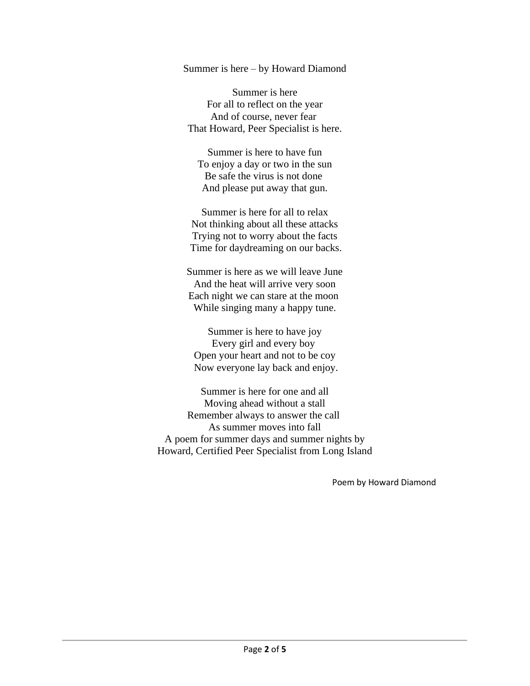Summer is here – by Howard Diamond

Summer is here For all to reflect on the year And of course, never fear That Howard, Peer Specialist is here.

Summer is here to have fun To enjoy a day or two in the sun Be safe the virus is not done And please put away that gun.

Summer is here for all to relax Not thinking about all these attacks Trying not to worry about the facts Time for daydreaming on our backs.

Summer is here as we will leave June And the heat will arrive very soon Each night we can stare at the moon While singing many a happy tune.

Summer is here to have joy Every girl and every boy Open your heart and not to be coy Now everyone lay back and enjoy.

Summer is here for one and all Moving ahead without a stall Remember always to answer the call As summer moves into fall A poem for summer days and summer nights by Howard, Certified Peer Specialist from Long Island

Poem by Howard Diamond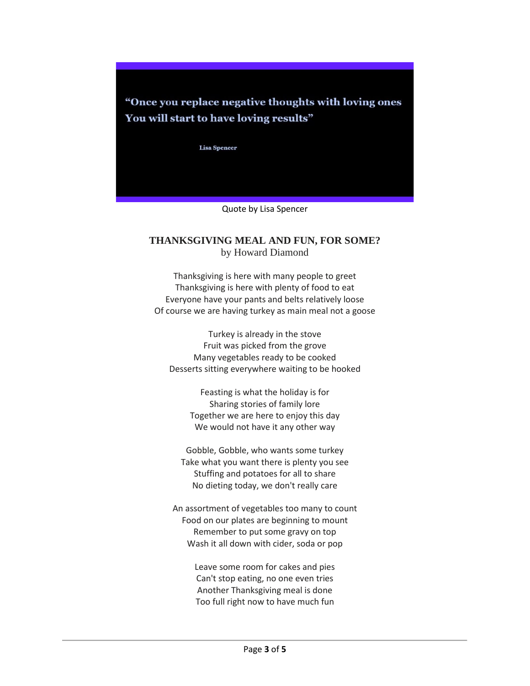"Once you replace negative thoughts with loving ones" You will start to have loving results"

**Lisa Spencer** 

Quote by Lisa Spencer

#### **THANKSGIVING MEAL AND FUN, FOR SOME?** by Howard Diamond

Thanksgiving is here with many people to greet Thanksgiving is here with plenty of food to eat Everyone have your pants and belts relatively loose Of course we are having turkey as main meal not a goose

Turkey is already in the stove Fruit was picked from the grove Many vegetables ready to be cooked Desserts sitting everywhere waiting to be hooked

Feasting is what the holiday is for Sharing stories of family lore Together we are here to enjoy this day We would not have it any other way

Gobble, Gobble, who wants some turkey Take what you want there is plenty you see Stuffing and potatoes for all to share No dieting today, we don't really care

An assortment of vegetables too many to count Food on our plates are beginning to mount Remember to put some gravy on top Wash it all down with cider, soda or pop

> Leave some room for cakes and pies Can't stop eating, no one even tries Another Thanksgiving meal is done Too full right now to have much fun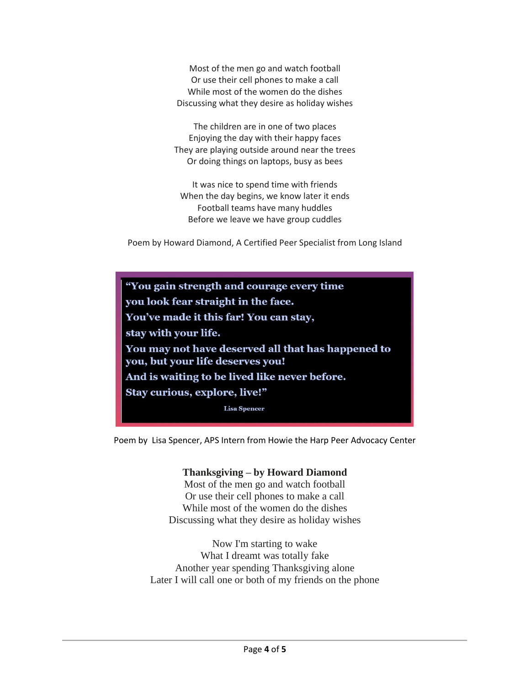Most of the men go and watch football Or use their cell phones to make a call While most of the women do the dishes Discussing what they desire as holiday wishes

The children are in one of two places Enjoying the day with their happy faces They are playing outside around near the trees Or doing things on laptops, busy as bees

It was nice to spend time with friends When the day begins, we know later it ends Football teams have many huddles Before we leave we have group cuddles

Poem by Howard Diamond, A Certified Peer Specialist from Long Island

"You gain strength and courage every time you look fear straight in the face. You've made it this far! You can stay, stay with your life. You may not have deserved all that has happened to you, but your life deserves you! And is waiting to be lived like never before. Stay curious, explore, live!" **Lisa Spencer** 

Poem by Lisa Spencer, APS Intern from Howie the Harp Peer Advocacy Center

#### **Thanksgiving – by Howard Diamond**

Most of the men go and watch football Or use their cell phones to make a call While most of the women do the dishes Discussing what they desire as holiday wishes

Now I'm starting to wake What I dreamt was totally fake Another year spending Thanksgiving alone Later I will call one or both of my friends on the phone